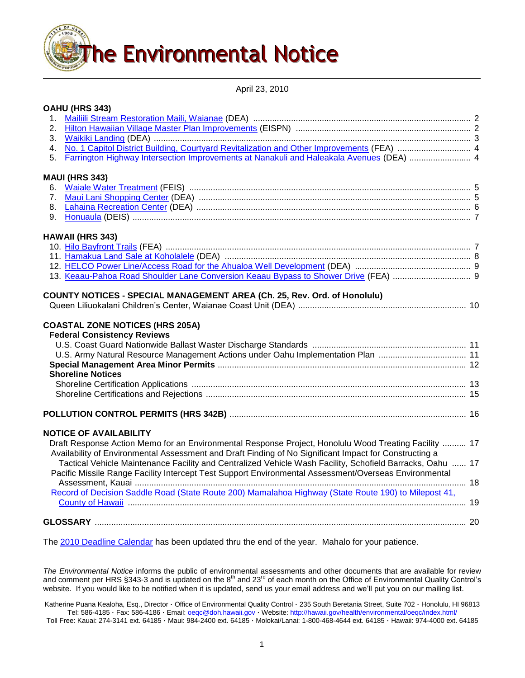

April 23, 2010

|         | OAHU (HRS 343)                                                                                                                                                                                                      |  |
|---------|---------------------------------------------------------------------------------------------------------------------------------------------------------------------------------------------------------------------|--|
| $1_{-}$ |                                                                                                                                                                                                                     |  |
| 2.      |                                                                                                                                                                                                                     |  |
| 3.      |                                                                                                                                                                                                                     |  |
| 4.      |                                                                                                                                                                                                                     |  |
| 5.      | Farrington Highway Intersection Improvements at Nanakuli and Haleakala Avenues (DEA)  4                                                                                                                             |  |
|         | <b>MAUI (HRS 343)</b>                                                                                                                                                                                               |  |
| 6.      |                                                                                                                                                                                                                     |  |
| 7.      |                                                                                                                                                                                                                     |  |
| 8.      |                                                                                                                                                                                                                     |  |
| 9.      |                                                                                                                                                                                                                     |  |
|         | <b>HAWAII (HRS 343)</b>                                                                                                                                                                                             |  |
|         |                                                                                                                                                                                                                     |  |
|         |                                                                                                                                                                                                                     |  |
|         |                                                                                                                                                                                                                     |  |
|         |                                                                                                                                                                                                                     |  |
|         | <b>COASTAL ZONE NOTICES (HRS 205A)</b><br><b>Federal Consistency Reviews</b><br>U.S. Army Natural Resource Management Actions under Oahu Implementation Plan  11<br><b>Shoreline Notices</b>                        |  |
|         |                                                                                                                                                                                                                     |  |
|         |                                                                                                                                                                                                                     |  |
|         |                                                                                                                                                                                                                     |  |
|         | <b>NOTICE OF AVAILABILITY</b>                                                                                                                                                                                       |  |
|         | Draft Response Action Memo for an Environmental Response Project, Honolulu Wood Treating Facility  17                                                                                                               |  |
|         | Availability of Environmental Assessment and Draft Finding of No Significant Impact for Constructing a<br>Tactical Vehicle Maintenance Facility and Centralized Vehicle Wash Facility, Schofield Barracks, Oahu  17 |  |
|         | Pacific Missile Range Facility Intercept Test Support Environmental Assessment/Overseas Environmental                                                                                                               |  |
|         | Record of Decision Saddle Road (State Route 200) Mamalahoa Highway (State Route 190) to Milepost 41,                                                                                                                |  |
|         |                                                                                                                                                                                                                     |  |
|         |                                                                                                                                                                                                                     |  |

The [2010 Deadline Calendar](http://oeqc.doh.hawaii.gov/Shared%20Documents/Environmental_Notice/2010_Deadline_Calendar.pdf) has been updated thru the end of the year. Mahalo for your patience.

*The Environmental Notice* informs the public of environmental assessments and other documents that are available for review and comment per HRS §343-3 and is updated on the  $8<sup>th</sup>$  and 23<sup>rd</sup> of each month on the Office of Environmental Quality Control's website. If you would like to be notified when it is updated, send us your email address and we'll put you on our mailing list.

Katherine Puana Kealoha, Esq., Director · Office of Environmental Quality Control · 235 South Beretania Street, Suite 702 · Honolulu, HI 96813 Tel: 586-4185 · Fax: 586-4186 · Email: [oeqc@doh.hawaii.gov](mailto:oeqc@doh.hawaii.gov) · Website[: http://hawaii.gov/health/environmental/oeqc/index.html/](http://hawaii.gov/health/environmental/oeqc/index.html/)

Toll Free: Kauai: 274-3141 ext. 64185 · Maui: 984-2400 ext. 64185 · Molokai/Lanai: 1-800-468-4644 ext. 64185 · Hawaii: 974-4000 ext. 64185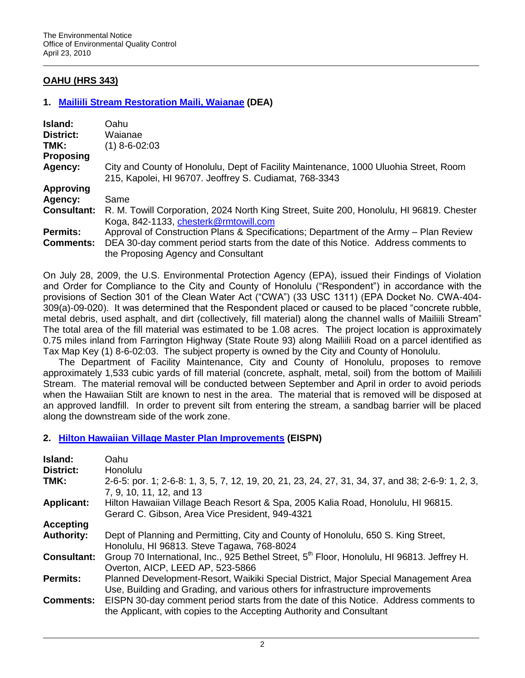# **OAHU (HRS 343)**

## **1. [Mailiili Stream Restoration Maili, Waianae](http://oeqc.doh.hawaii.gov/Shared%20Documents/EA_and_EIS_Online_Library/Oahu/2010s/2010-04-23-OA-DEA-Mailiili-Stream-Restoration.pdf) (DEA)**

| <b>Island:</b>     | Oahu                                                                                                                                           |
|--------------------|------------------------------------------------------------------------------------------------------------------------------------------------|
| District:          | Waianae                                                                                                                                        |
| TMK:               | $(1)$ 8-6-02:03                                                                                                                                |
| <b>Proposing</b>   |                                                                                                                                                |
| Agency:            | City and County of Honolulu, Dept of Facility Maintenance, 1000 Uluohia Street, Room<br>215, Kapolei, HI 96707. Jeoffrey S. Cudiamat, 768-3343 |
| <b>Approving</b>   |                                                                                                                                                |
| Agency:            | Same                                                                                                                                           |
| <b>Consultant:</b> | R. M. Towill Corporation, 2024 North King Street, Suite 200, Honolulu, HI 96819. Chester<br>Koga, 842-1133, chesterk@rmtowill.com              |
| <b>Permits:</b>    | Approval of Construction Plans & Specifications; Department of the Army – Plan Review                                                          |
| <b>Comments:</b>   | DEA 30-day comment period starts from the date of this Notice. Address comments to                                                             |
|                    | the Proposing Agency and Consultant                                                                                                            |

On July 28, 2009, the U.S. Environmental Protection Agency (EPA), issued their Findings of Violation and Order for Compliance to the City and County of Honolulu ("Respondent") in accordance with the provisions of Section 301 of the Clean Water Act ("CWA") (33 USC 1311) (EPA Docket No. CWA-404- 309(a)-09-020). It was determined that the Respondent placed or caused to be placed "concrete rubble, metal debris, used asphalt, and dirt (collectively, fill material) along the channel walls of Mailiili Stream" The total area of the fill material was estimated to be 1.08 acres. The project location is approximately 0.75 miles inland from Farrington Highway (State Route 93) along Mailiili Road on a parcel identified as Tax Map Key (1) 8-6-02:03. The subject property is owned by the City and County of Honolulu.

The Department of Facility Maintenance, City and County of Honolulu, proposes to remove approximately 1,533 cubic yards of fill material (concrete, asphalt, metal, soil) from the bottom of Mailiili Stream. The material removal will be conducted between September and April in order to avoid periods when the Hawaiian Stilt are known to nest in the area. The material that is removed will be disposed at an approved landfill. In order to prevent silt from entering the stream, a sandbag barrier will be placed along the downstream side of the work zone.

## **2. [Hilton Hawaiian Village Master Plan Improvements](http://oeqc.doh.hawaii.gov/Shared%20Documents/EA_and_EIS_Online_Library/Oahu/2010s/2010-04-23-OA-EISPN-Hilton-Hawaiian-Vill-Master-Plan.pdf) (EISPN)**

| Island:<br><b>District:</b><br>TMK: | Oahu<br>Honolulu<br>2-6-5: por. 1; 2-6-8: 1, 3, 5, 7, 12, 19, 20, 21, 23, 24, 27, 31, 34, 37, and 38; 2-6-9: 1, 2, 3,<br>7, 9, 10, 11, 12, and 13                    |
|-------------------------------------|----------------------------------------------------------------------------------------------------------------------------------------------------------------------|
| <b>Applicant:</b>                   | Hilton Hawaiian Village Beach Resort & Spa, 2005 Kalia Road, Honolulu, HI 96815.<br>Gerard C. Gibson, Area Vice President, 949-4321                                  |
| <b>Accepting</b>                    |                                                                                                                                                                      |
| <b>Authority:</b>                   | Dept of Planning and Permitting, City and County of Honolulu, 650 S. King Street,<br>Honolulu, HI 96813. Steve Tagawa, 768-8024                                      |
| <b>Consultant:</b>                  | Group 70 International, Inc., 925 Bethel Street, 5 <sup>th</sup> Floor, Honolulu, HI 96813. Jeffrey H.<br>Overton, AICP, LEED AP, 523-5866                           |
| <b>Permits:</b>                     | Planned Development-Resort, Waikiki Special District, Major Special Management Area<br>Use, Building and Grading, and various others for infrastructure improvements |
| <b>Comments:</b>                    | EISPN 30-day comment period starts from the date of this Notice. Address comments to<br>the Applicant, with copies to the Accepting Authority and Consultant         |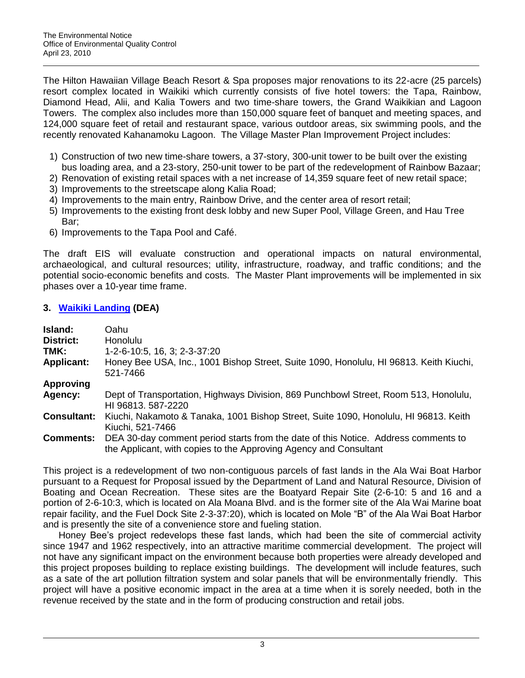The Hilton Hawaiian Village Beach Resort & Spa proposes major renovations to its 22-acre (25 parcels) resort complex located in Waikiki which currently consists of five hotel towers: the Tapa, Rainbow, Diamond Head, Alii, and Kalia Towers and two time-share towers, the Grand Waikikian and Lagoon Towers. The complex also includes more than 150,000 square feet of banquet and meeting spaces, and 124,000 square feet of retail and restaurant space, various outdoor areas, six swimming pools, and the recently renovated Kahanamoku Lagoon. The Village Master Plan Improvement Project includes:

- 1) Construction of two new time-share towers, a 37-story, 300-unit tower to be built over the existing bus loading area, and a 23-story, 250-unit tower to be part of the redevelopment of Rainbow Bazaar;
- 2) Renovation of existing retail spaces with a net increase of 14,359 square feet of new retail space;
- 3) Improvements to the streetscape along Kalia Road;
- 4) Improvements to the main entry, Rainbow Drive, and the center area of resort retail;
- 5) Improvements to the existing front desk lobby and new Super Pool, Village Green, and Hau Tree Bar;
- 6) Improvements to the Tapa Pool and Café.

The draft EIS will evaluate construction and operational impacts on natural environmental, archaeological, and cultural resources; utility, infrastructure, roadway, and traffic conditions; and the potential socio-economic benefits and costs. The Master Plant improvements will be implemented in six phases over a 10-year time frame.

## **3. [Waikiki Landing](http://oeqc.doh.hawaii.gov/Shared%20Documents/EA_and_EIS_Online_Library/Oahu/2010s/2010-04-23-OA-DEA-Waikiki-Landing.pdf) (DEA)**

| Island:            | Oahu                                                                                                                                                    |
|--------------------|---------------------------------------------------------------------------------------------------------------------------------------------------------|
| <b>District:</b>   | <b>Honolulu</b>                                                                                                                                         |
| TMK:               | 1-2-6-10:5, 16, 3; 2-3-37:20                                                                                                                            |
| <b>Applicant:</b>  | Honey Bee USA, Inc., 1001 Bishop Street, Suite 1090, Honolulu, HI 96813. Keith Kiuchi,<br>521-7466                                                      |
| <b>Approving</b>   |                                                                                                                                                         |
| Agency:            | Dept of Transportation, Highways Division, 869 Punchbowl Street, Room 513, Honolulu,<br>HI 96813. 587-2220                                              |
| <b>Consultant:</b> | Kiuchi, Nakamoto & Tanaka, 1001 Bishop Street, Suite 1090, Honolulu, HI 96813. Keith<br>Kiuchi, 521-7466                                                |
| <b>Comments:</b>   | DEA 30-day comment period starts from the date of this Notice. Address comments to<br>the Applicant, with copies to the Approving Agency and Consultant |

This project is a redevelopment of two non-contiguous parcels of fast lands in the Ala Wai Boat Harbor pursuant to a Request for Proposal issued by the Department of Land and Natural Resource, Division of Boating and Ocean Recreation. These sites are the Boatyard Repair Site (2-6-10: 5 and 16 and a portion of 2-6-10:3, which is located on Ala Moana Blvd. and is the former site of the Ala Wai Marine boat repair facility, and the Fuel Dock Site 2-3-37:20), which is located on Mole "B" of the Ala Wai Boat Harbor and is presently the site of a convenience store and fueling station.

Honey Bee's project redevelops these fast lands, which had been the site of commercial activity since 1947 and 1962 respectively, into an attractive maritime commercial development. The project will not have any significant impact on the environment because both properties were already developed and this project proposes building to replace existing buildings. The development will include features, such as a sate of the art pollution filtration system and solar panels that will be environmentally friendly. This project will have a positive economic impact in the area at a time when it is sorely needed, both in the revenue received by the state and in the form of producing construction and retail jobs.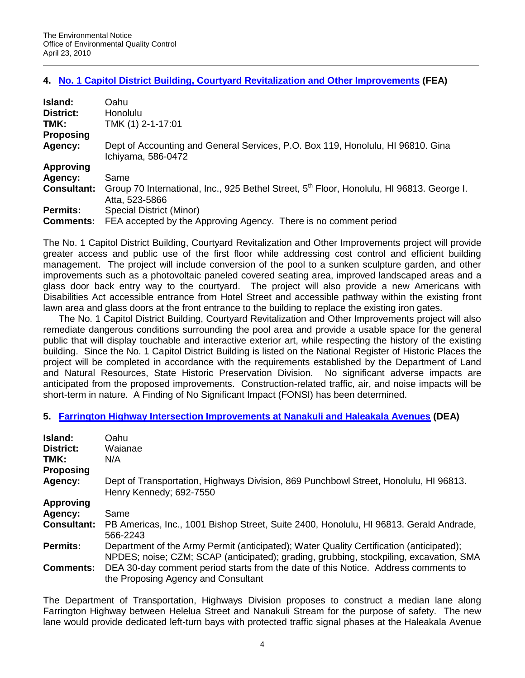## **4. [No. 1 Capitol District Building, Courtyard Revitalization and Other Improvements](http://oeqc.doh.hawaii.gov/Shared%20Documents/EA_and_EIS_Online_Library/Oahu/2010s/2010-04-23-OA-FEA-No1-Capitol-District-Bldg-Courtyard-Revitalization.pdf) (FEA)**

| Island:            | Oahu                                                                                                                    |
|--------------------|-------------------------------------------------------------------------------------------------------------------------|
| <b>District:</b>   | Honolulu                                                                                                                |
| TMK:               | TMK (1) 2-1-17:01                                                                                                       |
| <b>Proposing</b>   |                                                                                                                         |
| Agency:            | Dept of Accounting and General Services, P.O. Box 119, Honolulu, HI 96810. Gina<br>Ichiyama, 586-0472                   |
| <b>Approving</b>   |                                                                                                                         |
| Agency:            | Same                                                                                                                    |
| <b>Consultant:</b> | Group 70 International, Inc., 925 Bethel Street, 5 <sup>th</sup> Floor, Honolulu, HI 96813. George I.<br>Atta, 523-5866 |
| <b>Permits:</b>    | Special District (Minor)                                                                                                |
| <b>Comments:</b>   | FEA accepted by the Approving Agency. There is no comment period                                                        |

The No. 1 Capitol District Building, Courtyard Revitalization and Other Improvements project will provide greater access and public use of the first floor while addressing cost control and efficient building management. The project will include conversion of the pool to a sunken sculpture garden, and other improvements such as a photovoltaic paneled covered seating area, improved landscaped areas and a glass door back entry way to the courtyard. The project will also provide a new Americans with Disabilities Act accessible entrance from Hotel Street and accessible pathway within the existing front lawn area and glass doors at the front entrance to the building to replace the existing iron gates.

The No. 1 Capitol District Building, Courtyard Revitalization and Other Improvements project will also remediate dangerous conditions surrounding the pool area and provide a usable space for the general public that will display touchable and interactive exterior art, while respecting the history of the existing building. Since the No. 1 Capitol District Building is listed on the National Register of Historic Places the project will be completed in accordance with the requirements established by the Department of Land and Natural Resources, State Historic Preservation Division. No significant adverse impacts are anticipated from the proposed improvements. Construction-related traffic, air, and noise impacts will be short-term in nature. A Finding of No Significant Impact (FONSI) has been determined.

## **5. [Farrington Highway Intersection Improvements at Nanakuli and Haleakala Avenues](http://oeqc.doh.hawaii.gov/Shared%20Documents/EA_and_EIS_Online_Library/Oahu/2010s/2010-04-23-OA-DEA-Farrington-Hwy-Imp-Nanakuli.pdf) (DEA)**

| Island:<br><b>District:</b><br>TMK:<br>Proposing | Oahu<br>Waianae<br>N/A                                                                                                                                                            |
|--------------------------------------------------|-----------------------------------------------------------------------------------------------------------------------------------------------------------------------------------|
| Agency:                                          | Dept of Transportation, Highways Division, 869 Punchbowl Street, Honolulu, HI 96813.<br>Henry Kennedy; 692-7550                                                                   |
| <b>Approving</b>                                 |                                                                                                                                                                                   |
| Agency:                                          | Same                                                                                                                                                                              |
| <b>Consultant:</b>                               | PB Americas, Inc., 1001 Bishop Street, Suite 2400, Honolulu, HI 96813. Gerald Andrade,<br>566-2243                                                                                |
| <b>Permits:</b>                                  | Department of the Army Permit (anticipated); Water Quality Certification (anticipated);<br>NPDES; noise; CZM; SCAP (anticipated); grading, grubbing, stockpiling, excavation, SMA |
| <b>Comments:</b>                                 | DEA 30-day comment period starts from the date of this Notice. Address comments to<br>the Proposing Agency and Consultant                                                         |

The Department of Transportation, Highways Division proposes to construct a median lane along Farrington Highway between Helelua Street and Nanakuli Stream for the purpose of safety. The new lane would provide dedicated left-turn bays with protected traffic signal phases at the Haleakala Avenue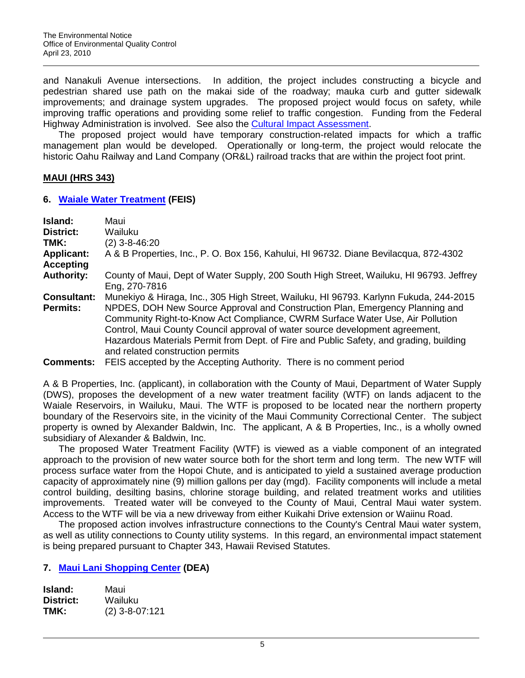and Nanakuli Avenue intersections. In addition, the project includes constructing a bicycle and pedestrian shared use path on the makai side of the roadway; mauka curb and gutter sidewalk improvements; and drainage system upgrades. The proposed project would focus on safety, while improving traffic operations and providing some relief to traffic congestion. Funding from the Federal Highway Administration is involved. See also the [Cultural Impact Assessment.](http://oeqc.doh.hawaii.gov/Shared%20Documents/EA_and_EIS_Online_Library/Oahu/2010s/2010-04-23-OA-DEA-Farrington-Hwy-Imp-Nanakuli-CIA.pdf)

The proposed project would have temporary construction-related impacts for which a traffic management plan would be developed. Operationally or long-term, the project would relocate the historic Oahu Railway and Land Company (OR&L) railroad tracks that are within the project foot print.

## **MAUI (HRS 343)**

### **6. [Waiale Water Treatment](http://oeqc.doh.hawaii.gov/Shared%20Documents/EA_and_EIS_Online_Library/Maui/2010s/2010-04-23-MA-FEIS-Waiale-Water-Treatment-Facility.pdf) (FEIS)**

| Island:                               | Maui                                                                                                                                                                                                                                                                                                                                                                        |
|---------------------------------------|-----------------------------------------------------------------------------------------------------------------------------------------------------------------------------------------------------------------------------------------------------------------------------------------------------------------------------------------------------------------------------|
| <b>District:</b>                      | Wailuku                                                                                                                                                                                                                                                                                                                                                                     |
| TMK:                                  | $(2)$ 3-8-46:20                                                                                                                                                                                                                                                                                                                                                             |
| <b>Applicant:</b><br><b>Accepting</b> | A & B Properties, Inc., P. O. Box 156, Kahului, HI 96732. Diane Bevilacqua, 872-4302                                                                                                                                                                                                                                                                                        |
| <b>Authority:</b>                     | County of Maui, Dept of Water Supply, 200 South High Street, Wailuku, HI 96793. Jeffrey<br>Eng, 270-7816                                                                                                                                                                                                                                                                    |
| <b>Consultant:</b>                    | Munekiyo & Hiraga, Inc., 305 High Street, Wailuku, HI 96793. Karlynn Fukuda, 244-2015                                                                                                                                                                                                                                                                                       |
| <b>Permits:</b>                       | NPDES, DOH New Source Approval and Construction Plan, Emergency Planning and<br>Community Right-to-Know Act Compliance, CWRM Surface Water Use, Air Pollution<br>Control, Maui County Council approval of water source development agreement,<br>Hazardous Materials Permit from Dept. of Fire and Public Safety, and grading, building<br>and related construction permits |
| <b>Comments:</b>                      | FEIS accepted by the Accepting Authority. There is no comment period                                                                                                                                                                                                                                                                                                        |

A & B Properties, Inc. (applicant), in collaboration with the County of Maui, Department of Water Supply (DWS), proposes the development of a new water treatment facility (WTF) on lands adjacent to the Waiale Reservoirs, in Wailuku, Maui. The WTF is proposed to be located near the northern property boundary of the Reservoirs site, in the vicinity of the Maui Community Correctional Center. The subject property is owned by Alexander Baldwin, Inc. The applicant, A & B Properties, Inc., is a wholly owned subsidiary of Alexander & Baldwin, Inc.

The proposed Water Treatment Facility (WTF) is viewed as a viable component of an integrated approach to the provision of new water source both for the short term and long term. The new WTF will process surface water from the Hopoi Chute, and is anticipated to yield a sustained average production capacity of approximately nine (9) million gallons per day (mgd). Facility components will include a metal control building, desilting basins, chlorine storage building, and related treatment works and utilities improvements. Treated water will be conveyed to the County of Maui, Central Maui water system. Access to the WTF will be via a new driveway from either Kuikahi Drive extension or Waiinu Road.

The proposed action involves infrastructure connections to the County's Central Maui water system, as well as utility connections to County utility systems. In this regard, an environmental impact statement is being prepared pursuant to Chapter 343, Hawaii Revised Statutes.

## **7. [Maui Lani Shopping Center](http://oeqc.doh.hawaii.gov/Shared%20Documents/EA_and_EIS_Online_Library/Maui/2010s/2010-04-23-MA-DEA-Maui-Lani-Shopping-Center.pdf) (DEA)**

| Island:   | Maui             |
|-----------|------------------|
| District: | Wailuku          |
| TMK:      | $(2)$ 3-8-07:121 |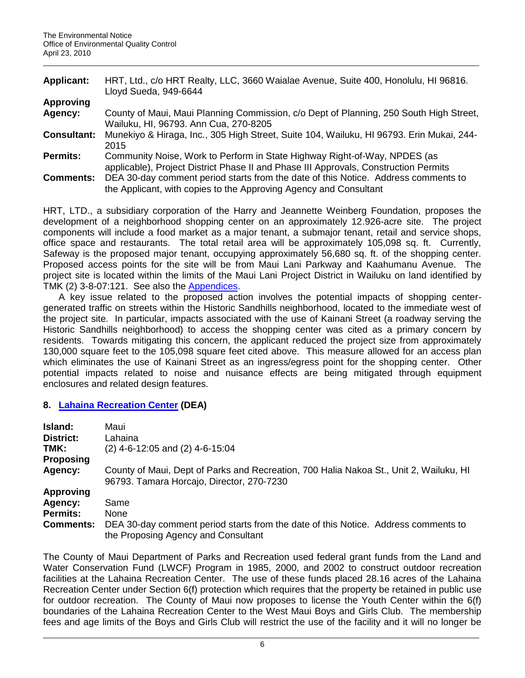| <b>Applicant:</b>  | HRT, Ltd., c/o HRT Realty, LLC, 3660 Waialae Avenue, Suite 400, Honolulu, HI 96816.                                                                               |
|--------------------|-------------------------------------------------------------------------------------------------------------------------------------------------------------------|
|                    | Lloyd Sueda, 949-6644                                                                                                                                             |
| Approving          |                                                                                                                                                                   |
| Agency:            | County of Maui, Maui Planning Commission, c/o Dept of Planning, 250 South High Street,<br>Wailuku, HI, 96793. Ann Cua, 270-8205                                   |
| <b>Consultant:</b> | Munekiyo & Hiraga, Inc., 305 High Street, Suite 104, Wailuku, HI 96793. Erin Mukai, 244-<br>2015                                                                  |
| <b>Permits:</b>    | Community Noise, Work to Perform in State Highway Right-of-Way, NPDES (as<br>applicable), Project District Phase II and Phase III Approvals, Construction Permits |
| <b>Comments:</b>   | DEA 30-day comment period starts from the date of this Notice. Address comments to<br>the Applicant, with copies to the Approving Agency and Consultant           |

HRT, LTD., a subsidiary corporation of the Harry and Jeannette Weinberg Foundation, proposes the development of a neighborhood shopping center on an approximately 12.926-acre site. The project components will include a food market as a major tenant, a submajor tenant, retail and service shops, office space and restaurants. The total retail area will be approximately 105,098 sq. ft. Currently, Safeway is the proposed major tenant, occupying approximately 56,680 sq. ft. of the shopping center. Proposed access points for the site will be from Maui Lani Parkway and Kaahumanu Avenue. The project site is located within the limits of the Maui Lani Project District in Wailuku on land identified by TMK (2) 3-8-07:121. See also the [Appendices.](http://oeqc.doh.hawaii.gov/Shared%20Documents/EA_and_EIS_Online_Library/Maui/2010s/2010-04-23-MA-DEA-Maui-Lani-Shopping-Center-App.pdf)

A key issue related to the proposed action involves the potential impacts of shopping centergenerated traffic on streets within the Historic Sandhills neighborhood, located to the immediate west of the project site. In particular, impacts associated with the use of Kainani Street (a roadway serving the Historic Sandhills neighborhood) to access the shopping center was cited as a primary concern by residents. Towards mitigating this concern, the applicant reduced the project size from approximately 130,000 square feet to the 105,098 square feet cited above. This measure allowed for an access plan which eliminates the use of Kainani Street as an ingress/egress point for the shopping center. Other potential impacts related to noise and nuisance effects are being mitigated through equipment enclosures and related design features.

## **8. [Lahaina Recreation Center](http://oeqc.doh.hawaii.gov/Shared%20Documents/EA_and_EIS_Online_Library/Maui/2010s/2010-04-23-MA-DEA-Lahaina-Rec-Center.pdf) (DEA)**

| Island:          | Maui                                                                                                                                |
|------------------|-------------------------------------------------------------------------------------------------------------------------------------|
| <b>District:</b> | Lahaina                                                                                                                             |
| TMK:             | $(2)$ 4-6-12:05 and $(2)$ 4-6-15:04                                                                                                 |
| <b>Proposing</b> |                                                                                                                                     |
| Agency:          | County of Maui, Dept of Parks and Recreation, 700 Halia Nakoa St., Unit 2, Wailuku, HI<br>96793. Tamara Horcajo, Director, 270-7230 |
| <b>Approving</b> |                                                                                                                                     |
| Agency:          | Same                                                                                                                                |
| <b>Permits:</b>  | <b>None</b>                                                                                                                         |
| <b>Comments:</b> | DEA 30-day comment period starts from the date of this Notice. Address comments to<br>the Proposing Agency and Consultant           |

The County of Maui Department of Parks and Recreation used federal grant funds from the Land and Water Conservation Fund (LWCF) Program in 1985, 2000, and 2002 to construct outdoor recreation facilities at the Lahaina Recreation Center. The use of these funds placed 28.16 acres of the Lahaina Recreation Center under Section 6(f) protection which requires that the property be retained in public use for outdoor recreation. The County of Maui now proposes to license the Youth Center within the 6(f) boundaries of the Lahaina Recreation Center to the West Maui Boys and Girls Club. The membership fees and age limits of the Boys and Girls Club will restrict the use of the facility and it will no longer be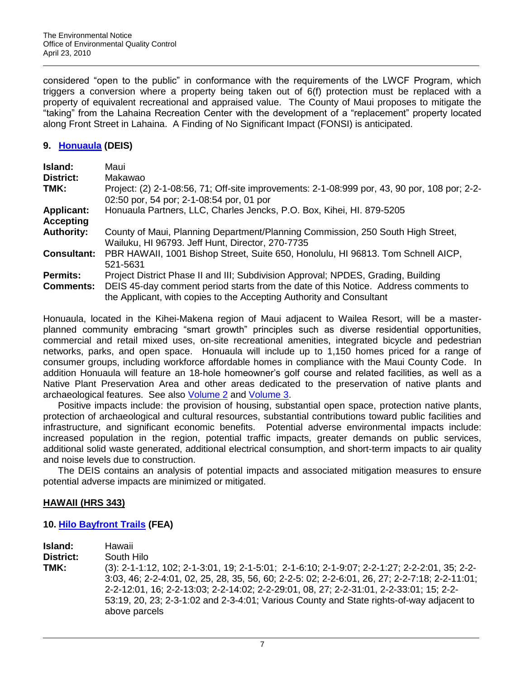considered "open to the public" in conformance with the requirements of the LWCF Program, which triggers a conversion where a property being taken out of 6(f) protection must be replaced with a property of equivalent recreational and appraised value. The County of Maui proposes to mitigate the "taking" from the Lahaina Recreation Center with the development of a "replacement" property located along Front Street in Lahaina. A Finding of No Significant Impact (FONSI) is anticipated.

## **9. [Honuaula](http://oeqc.doh.hawaii.gov/Shared%20Documents/EA_and_EIS_Online_Library/Maui/2010s/2010-04-23-MA-DEIS-Honuaula-Vol-1.pdf) (DEIS)**

| Island:            | Maui                                                                                                                                                        |
|--------------------|-------------------------------------------------------------------------------------------------------------------------------------------------------------|
| <b>District:</b>   | Makawao                                                                                                                                                     |
| TMK:               | Project: (2) 2-1-08:56, 71; Off-site improvements: 2-1-08:999 por, 43, 90 por, 108 por; 2-2-<br>02:50 por, 54 por; 2-1-08:54 por, 01 por                    |
| <b>Applicant:</b>  | Honuaula Partners, LLC, Charles Jencks, P.O. Box, Kihei, Hl. 879-5205                                                                                       |
| <b>Accepting</b>   |                                                                                                                                                             |
| <b>Authority:</b>  | County of Maui, Planning Department/Planning Commission, 250 South High Street,<br>Wailuku, HI 96793. Jeff Hunt, Director, 270-7735                         |
| <b>Consultant:</b> | PBR HAWAII, 1001 Bishop Street, Suite 650, Honolulu, HI 96813. Tom Schnell AICP,<br>521-5631                                                                |
| <b>Permits:</b>    | Project District Phase II and III; Subdivision Approval; NPDES, Grading, Building                                                                           |
| <b>Comments:</b>   | DEIS 45-day comment period starts from the date of this Notice. Address comments to<br>the Applicant, with copies to the Accepting Authority and Consultant |

Honuaula, located in the Kihei-Makena region of Maui adjacent to Wailea Resort, will be a masterplanned community embracing "smart growth" principles such as diverse residential opportunities, commercial and retail mixed uses, on-site recreational amenities, integrated bicycle and pedestrian networks, parks, and open space. Honuaula will include up to 1,150 homes priced for a range of consumer groups, including workforce affordable homes in compliance with the Maui County Code. In addition Honuaula will feature an 18-hole homeowner's golf course and related facilities, as well as a Native Plant Preservation Area and other areas dedicated to the preservation of native plants and archaeological features. See also [Volume 2](http://oeqc.doh.hawaii.gov/Shared%20Documents/EA_and_EIS_Online_Library/Maui/2010s/2010-04-23-MA-DEIS-Honuaula-Vol-2.pdf) and [Volume 3.](http://oeqc.doh.hawaii.gov/Shared%20Documents/EA_and_EIS_Online_Library/Maui/2010s/2010-04-23-MA-DEIS-Honuaula-Vol-3.pdf)

Positive impacts include: the provision of housing, substantial open space, protection native plants, protection of archaeological and cultural resources, substantial contributions toward public facilities and infrastructure, and significant economic benefits. Potential adverse environmental impacts include: increased population in the region, potential traffic impacts, greater demands on public services, additional solid waste generated, additional electrical consumption, and short-term impacts to air quality and noise levels due to construction.

The DEIS contains an analysis of potential impacts and associated mitigation measures to ensure potential adverse impacts are minimized or mitigated.

## **HAWAII (HRS 343)**

## **10. [Hilo Bayfront Trails](http://oeqc.doh.hawaii.gov/Shared%20Documents/EA_and_EIS_Online_Library/Hawaii/2010s/2010-04-23-HA-FEA-Hilo-Bayfront-Trails.pdf) (FEA)**

**Island:** Hawaii

**District:** South Hilo

**TMK:** (3): 2-1-1:12, 102; 2-1-3:01, 19; 2-1-5:01; 2-1-6:10; 2-1-9:07; 2-2-1:27; 2-2-2:01, 35; 2-2- 3:03, 46; 2-2-4:01, 02, 25, 28, 35, 56, 60; 2-2-5: 02; 2-2-6:01, 26, 27; 2-2-7:18; 2-2-11:01; 2-2-12:01, 16; 2-2-13:03; 2-2-14:02; 2-2-29:01, 08, 27; 2-2-31:01, 2-2-33:01; 15; 2-2- 53:19, 20, 23; 2-3-1:02 and 2-3-4:01; Various County and State rights-of-way adjacent to above parcels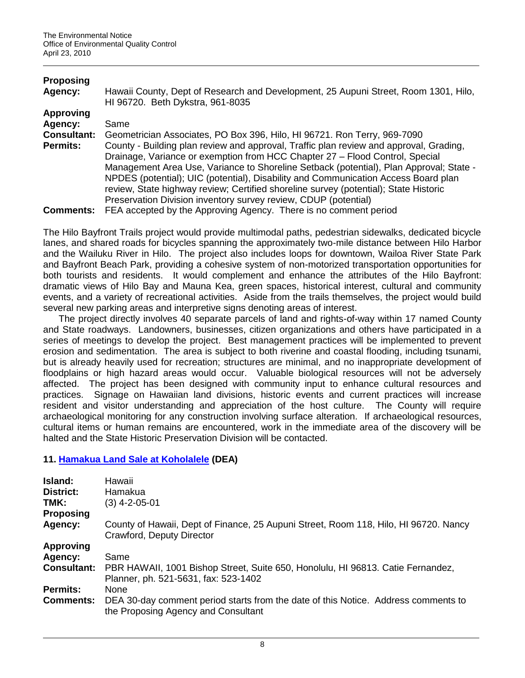| <b>Proposing</b><br>Agency: | Hawaii County, Dept of Research and Development, 25 Aupuni Street, Room 1301, Hilo,<br>HI 96720. Beth Dykstra, 961-8035 |
|-----------------------------|-------------------------------------------------------------------------------------------------------------------------|
|                             |                                                                                                                         |
| <b>Approving</b>            |                                                                                                                         |
| Agency:                     | Same                                                                                                                    |
| <b>Consultant:</b>          | Geometrician Associates, PO Box 396, Hilo, HI 96721. Ron Terry, 969-7090                                                |
| <b>Permits:</b>             | County - Building plan review and approval, Traffic plan review and approval, Grading,                                  |
|                             | Drainage, Variance or exemption from HCC Chapter 27 - Flood Control, Special                                            |
|                             |                                                                                                                         |
|                             | Management Area Use, Variance to Shoreline Setback (potential), Plan Approval; State -                                  |
|                             | NPDES (potential); UIC (potential), Disability and Communication Access Board plan                                      |
|                             | review, State highway review; Certified shoreline survey (potential); State Historic                                    |
|                             | Preservation Division inventory survey review, CDUP (potential)                                                         |
| <b>Comments:</b>            | FEA accepted by the Approving Agency. There is no comment period                                                        |

The Hilo Bayfront Trails project would provide multimodal paths, pedestrian sidewalks, dedicated bicycle lanes, and shared roads for bicycles spanning the approximately two-mile distance between Hilo Harbor and the Wailuku River in Hilo. The project also includes loops for downtown, Wailoa River State Park and Bayfront Beach Park, providing a cohesive system of non-motorized transportation opportunities for both tourists and residents. It would complement and enhance the attributes of the Hilo Bayfront: dramatic views of Hilo Bay and Mauna Kea, green spaces, historical interest, cultural and community events, and a variety of recreational activities. Aside from the trails themselves, the project would build several new parking areas and interpretive signs denoting areas of interest.

The project directly involves 40 separate parcels of land and rights-of-way within 17 named County and State roadways. Landowners, businesses, citizen organizations and others have participated in a series of meetings to develop the project. Best management practices will be implemented to prevent erosion and sedimentation. The area is subject to both riverine and coastal flooding, including tsunami, but is already heavily used for recreation; structures are minimal, and no inappropriate development of floodplains or high hazard areas would occur. Valuable biological resources will not be adversely affected. The project has been designed with community input to enhance cultural resources and practices. Signage on Hawaiian land divisions, historic events and current practices will increase resident and visitor understanding and appreciation of the host culture. The County will require archaeological monitoring for any construction involving surface alteration. If archaeological resources, cultural items or human remains are encountered, work in the immediate area of the discovery will be halted and the State Historic Preservation Division will be contacted.

# **11. [Hamakua Land Sale at Koholalele](http://oeqc.doh.hawaii.gov/Shared%20Documents/EA_and_EIS_Online_Library/Hawaii/2010s/2010-04-23-HA-DEA-Hamakua-Land-Sale-Koholalele.pdf) (DEA)**

| Island:<br><b>District:</b><br>TMK:<br><b>Proposing</b> | Hawaii<br>Hamakua<br>(3) 4-2-05-01                                                                                        |
|---------------------------------------------------------|---------------------------------------------------------------------------------------------------------------------------|
| Agency:                                                 | County of Hawaii, Dept of Finance, 25 Aupuni Street, Room 118, Hilo, HI 96720. Nancy<br>Crawford, Deputy Director         |
| <b>Approving</b>                                        |                                                                                                                           |
| Agency:                                                 | Same                                                                                                                      |
| <b>Consultant:</b>                                      | PBR HAWAII, 1001 Bishop Street, Suite 650, Honolulu, HI 96813. Catie Fernandez,<br>Planner, ph. 521-5631, fax: 523-1402   |
| <b>Permits:</b>                                         | None                                                                                                                      |
| <b>Comments:</b>                                        | DEA 30-day comment period starts from the date of this Notice. Address comments to<br>the Proposing Agency and Consultant |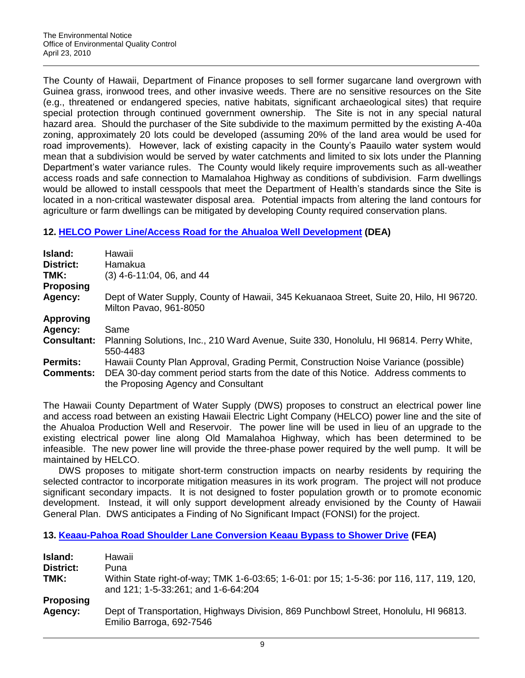The County of Hawaii, Department of Finance proposes to sell former sugarcane land overgrown with Guinea grass, ironwood trees, and other invasive weeds. There are no sensitive resources on the Site (e.g., threatened or endangered species, native habitats, significant archaeological sites) that require special protection through continued government ownership. The Site is not in any special natural hazard area. Should the purchaser of the Site subdivide to the maximum permitted by the existing A-40a zoning, approximately 20 lots could be developed (assuming 20% of the land area would be used for road improvements). However, lack of existing capacity in the County's Paauilo water system would mean that a subdivision would be served by water catchments and limited to six lots under the Planning Department's water variance rules. The County would likely require improvements such as all-weather access roads and safe connection to Mamalahoa Highway as conditions of subdivision. Farm dwellings would be allowed to install cesspools that meet the Department of Health's standards since the Site is located in a non-critical wastewater disposal area. Potential impacts from altering the land contours for agriculture or farm dwellings can be mitigated by developing County required conservation plans.

# **12. [HELCO Power Line/Access Road for the Ahualoa Well Development](http://oeqc.doh.hawaii.gov/Shared%20Documents/EA_and_EIS_Online_Library/Hawaii/2010s/2010-04-23-HA-DEA-Helco-PowerLine-Ahualoa.pdf) (DEA)**

| <b>Island:</b><br><b>District:</b><br>TMK:<br><b>Proposing</b> | Hawaii<br>Hamakua<br>$(3)$ 4-6-11:04, 06, and 44                                                                                                                                                                 |
|----------------------------------------------------------------|------------------------------------------------------------------------------------------------------------------------------------------------------------------------------------------------------------------|
| Agency:                                                        | Dept of Water Supply, County of Hawaii, 345 Kekuanaoa Street, Suite 20, Hilo, HI 96720.<br>Milton Pavao, 961-8050                                                                                                |
| <b>Approving</b>                                               |                                                                                                                                                                                                                  |
| Agency:                                                        | Same                                                                                                                                                                                                             |
| <b>Consultant:</b>                                             | Planning Solutions, Inc., 210 Ward Avenue, Suite 330, Honolulu, HI 96814. Perry White,<br>550-4483                                                                                                               |
| <b>Permits:</b><br><b>Comments:</b>                            | Hawaii County Plan Approval, Grading Permit, Construction Noise Variance (possible)<br>DEA 30-day comment period starts from the date of this Notice. Address comments to<br>the Proposing Agency and Consultant |

The Hawaii County Department of Water Supply (DWS) proposes to construct an electrical power line and access road between an existing Hawaii Electric Light Company (HELCO) power line and the site of the Ahualoa Production Well and Reservoir. The power line will be used in lieu of an upgrade to the existing electrical power line along Old Mamalahoa Highway, which has been determined to be infeasible. The new power line will provide the three-phase power required by the well pump. It will be maintained by HELCO.

DWS proposes to mitigate short-term construction impacts on nearby residents by requiring the selected contractor to incorporate mitigation measures in its work program. The project will not produce significant secondary impacts. It is not designed to foster population growth or to promote economic development. Instead, it will only support development already envisioned by the County of Hawaii General Plan. DWS anticipates a Finding of No Significant Impact (FONSI) for the project.

## **13. [Keaau-Pahoa Road Shoulder Lane Conversion Keaau Bypass to Shower Drive](http://oeqc.doh.hawaii.gov/Shared%20Documents/EA_and_EIS_Online_Library/Hawaii/2010s/2010-04-23-HA-FEA-Keaau-Pahoa-Road.pdf) (FEA)**

| Island:          | Hawaii                                                                                                                           |
|------------------|----------------------------------------------------------------------------------------------------------------------------------|
| District:        | Puna                                                                                                                             |
| TMK:             | Within State right-of-way; TMK 1-6-03:65; 1-6-01: por 15; 1-5-36: por 116, 117, 119, 120,<br>and 121; 1-5-33:261; and 1-6-64:204 |
| <b>Proposing</b> |                                                                                                                                  |
| Agency:          | Dept of Transportation, Highways Division, 869 Punchbowl Street, Honolulu, HI 96813.<br>Emilio Barroga, 692-7546                 |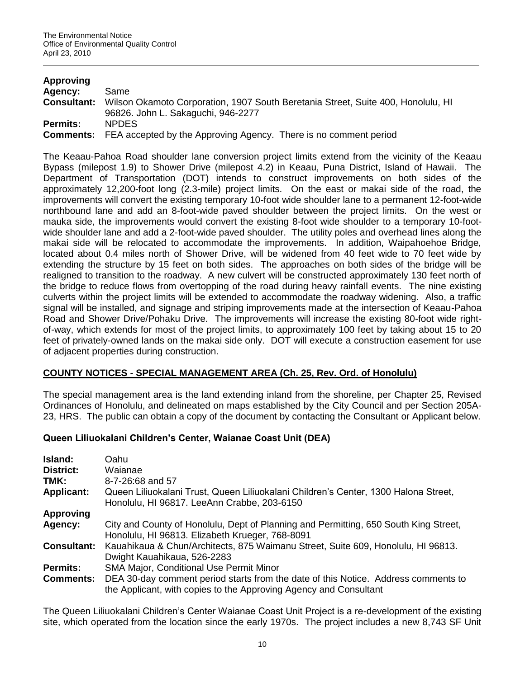| Approving          |                                                                                                                        |
|--------------------|------------------------------------------------------------------------------------------------------------------------|
| Agency:            | Same                                                                                                                   |
| <b>Consultant:</b> | Wilson Okamoto Corporation, 1907 South Beretania Street, Suite 400, Honolulu, HI<br>96826. John L. Sakaguchi, 946-2277 |
| <b>Permits:</b>    | <b>NPDES</b>                                                                                                           |
|                    | <b>Comments:</b> FEA accepted by the Approving Agency. There is no comment period                                      |

The Keaau-Pahoa Road shoulder lane conversion project limits extend from the vicinity of the Keaau Bypass (milepost 1.9) to Shower Drive (milepost 4.2) in Keaau, Puna District, Island of Hawaii. The Department of Transportation (DOT) intends to construct improvements on both sides of the approximately 12,200-foot long (2.3-mile) project limits. On the east or makai side of the road, the improvements will convert the existing temporary 10-foot wide shoulder lane to a permanent 12-foot-wide northbound lane and add an 8-foot-wide paved shoulder between the project limits. On the west or mauka side, the improvements would convert the existing 8-foot wide shoulder to a temporary 10-footwide shoulder lane and add a 2-foot-wide paved shoulder. The utility poles and overhead lines along the makai side will be relocated to accommodate the improvements. In addition, Waipahoehoe Bridge, located about 0.4 miles north of Shower Drive, will be widened from 40 feet wide to 70 feet wide by extending the structure by 15 feet on both sides. The approaches on both sides of the bridge will be realigned to transition to the roadway. A new culvert will be constructed approximately 130 feet north of the bridge to reduce flows from overtopping of the road during heavy rainfall events. The nine existing culverts within the project limits will be extended to accommodate the roadway widening. Also, a traffic signal will be installed, and signage and striping improvements made at the intersection of Keaau-Pahoa Road and Shower Drive/Pohaku Drive. The improvements will increase the existing 80-foot wide rightof-way, which extends for most of the project limits, to approximately 100 feet by taking about 15 to 20 feet of privately-owned lands on the makai side only. DOT will execute a construction easement for use of adjacent properties during construction.

## **COUNTY NOTICES - SPECIAL MANAGEMENT AREA (Ch. 25, Rev. Ord. of Honolulu)**

The special management area is the land extending inland from the shoreline, per Chapter 25, Revised Ordinances of Honolulu, and delineated on maps established by the City Council and per Section 205A-23, HRS. The public can obtain a copy of the document by contacting the Consultant or Applicant below.

## **Queen Liliuokalani Children's Center, Waianae Coast Unit (DEA)**

| Island:<br>District:<br>TMK:<br><b>Applicant:</b> | Oahu<br>Waianae<br>8-7-26:68 and 57<br>Queen Liliuokalani Trust, Queen Liliuokalani Children's Center, 1300 Halona Street,<br>Honolulu, HI 96817. LeeAnn Crabbe, 203-6150                                                         |
|---------------------------------------------------|-----------------------------------------------------------------------------------------------------------------------------------------------------------------------------------------------------------------------------------|
| <b>Approving</b><br>Agency:                       | City and County of Honolulu, Dept of Planning and Permitting, 650 South King Street,                                                                                                                                              |
| <b>Consultant:</b>                                | Honolulu, HI 96813. Elizabeth Krueger, 768-8091<br>Kauahikaua & Chun/Architects, 875 Waimanu Street, Suite 609, Honolulu, HI 96813.                                                                                               |
| <b>Permits:</b><br><b>Comments:</b>               | Dwight Kauahikaua, 526-2283<br>SMA Major, Conditional Use Permit Minor<br>DEA 30-day comment period starts from the date of this Notice. Address comments to<br>the Applicant, with copies to the Approving Agency and Consultant |

The Queen Liliuokalani Children's Center Waianae Coast Unit Project is a re-development of the existing site, which operated from the location since the early 1970s. The project includes a new 8,743 SF Unit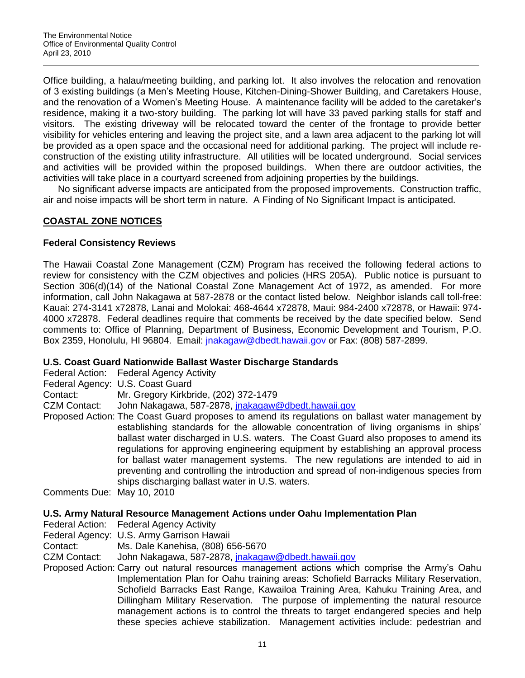Office building, a halau/meeting building, and parking lot. It also involves the relocation and renovation of 3 existing buildings (a Men's Meeting House, Kitchen-Dining-Shower Building, and Caretakers House, and the renovation of a Women's Meeting House. A maintenance facility will be added to the caretaker's residence, making it a two-story building. The parking lot will have 33 paved parking stalls for staff and visitors. The existing driveway will be relocated toward the center of the frontage to provide better visibility for vehicles entering and leaving the project site, and a lawn area adjacent to the parking lot will be provided as a open space and the occasional need for additional parking. The project will include reconstruction of the existing utility infrastructure. All utilities will be located underground. Social services and activities will be provided within the proposed buildings. When there are outdoor activities, the activities will take place in a courtyard screened from adjoining properties by the buildings.

No significant adverse impacts are anticipated from the proposed improvements. Construction traffic, air and noise impacts will be short term in nature. A Finding of No Significant Impact is anticipated.

# **COASTAL ZONE NOTICES**

## **Federal Consistency Reviews**

The Hawaii Coastal Zone Management (CZM) Program has received the following federal actions to review for consistency with the CZM objectives and policies (HRS 205A). Public notice is pursuant to Section 306(d)(14) of the National Coastal Zone Management Act of 1972, as amended. For more information, call John Nakagawa at 587-2878 or the contact listed below. Neighbor islands call toll-free: Kauai: 274-3141 x72878, Lanai and Molokai: 468-4644 x72878, Maui: 984-2400 x72878, or Hawaii: 974- 4000 x72878. Federal deadlines require that comments be received by the date specified below. Send comments to: Office of Planning, Department of Business, Economic Development and Tourism, P.O. Box 2359, Honolulu, HI 96804. Email: [jnakagaw@dbedt.hawaii.gov](mailto:jnakagaw@dbedt.hawaii.gov) or Fax: (808) 587-2899.

## **U.S. Coast Guard Nationwide Ballast Waster Discharge Standards**

Federal Action: Federal Agency Activity

Federal Agency: U.S. Coast Guard

Contact: Mr. Gregory Kirkbride, (202) 372-1479

CZM Contact: John Nakagawa, 587-2878, inakagaw@dbedt.hawaii.gov

Proposed Action: The Coast Guard proposes to amend its regulations on ballast water management by establishing standards for the allowable concentration of living organisms in ships' ballast water discharged in U.S. waters. The Coast Guard also proposes to amend its regulations for approving engineering equipment by establishing an approval process for ballast water management systems. The new regulations are intended to aid in preventing and controlling the introduction and spread of non-indigenous species from ships discharging ballast water in U.S. waters.

Comments Due: May 10, 2010

## **U.S. Army Natural Resource Management Actions under Oahu Implementation Plan**

Federal Action: Federal Agency Activity

- Federal Agency: U.S. Army Garrison Hawaii
- Contact: Ms. Dale Kanehisa, (808) 656-5670

CZM Contact: John Nakagawa, 587-2878, *jnakagaw@dbedt.hawaii.gov* 

Proposed Action: Carry out natural resources management actions which comprise the Army's Oahu Implementation Plan for Oahu training areas: Schofield Barracks Military Reservation, Schofield Barracks East Range, Kawailoa Training Area, Kahuku Training Area, and Dillingham Military Reservation. The purpose of implementing the natural resource management actions is to control the threats to target endangered species and help these species achieve stabilization. Management activities include: pedestrian and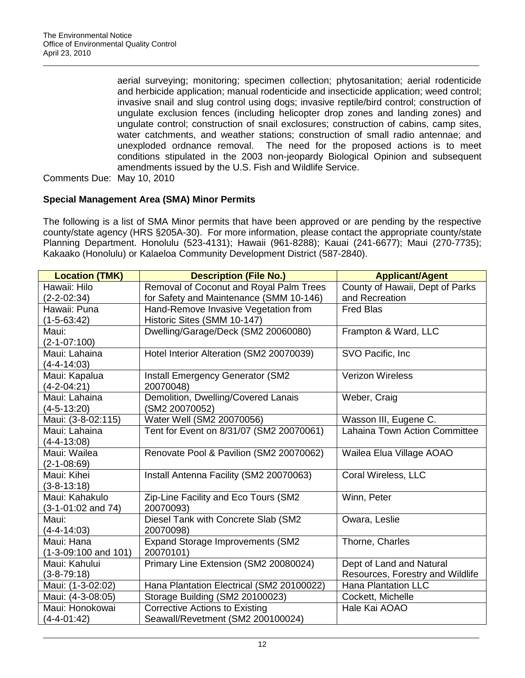aerial surveying; monitoring; specimen collection; phytosanitation; aerial rodenticide and herbicide application; manual rodenticide and insecticide application; weed control; invasive snail and slug control using dogs; invasive reptile/bird control; construction of ungulate exclusion fences (including helicopter drop zones and landing zones) and ungulate control; construction of snail exclosures; construction of cabins, camp sites, water catchments, and weather stations; construction of small radio antennae; and unexploded ordnance removal. The need for the proposed actions is to meet conditions stipulated in the 2003 non-jeopardy Biological Opinion and subsequent amendments issued by the U.S. Fish and Wildlife Service.

Comments Due: May 10, 2010

## **Special Management Area (SMA) Minor Permits**

The following is a list of SMA Minor permits that have been approved or are pending by the respective county/state agency (HRS §205A-30). For more information, please contact the appropriate county/state Planning Department. Honolulu (523-4131); Hawaii (961-8288); Kauai (241-6677); Maui (270-7735); Kakaako (Honolulu) or Kalaeloa Community Development District (587-2840).

| <b>Location (TMK)</b>    | <b>Description (File No.)</b>             | <b>Applicant/Agent</b>               |
|--------------------------|-------------------------------------------|--------------------------------------|
| Hawaii: Hilo             | Removal of Coconut and Royal Palm Trees   | County of Hawaii, Dept of Parks      |
| $(2 - 2 - 02:34)$        | for Safety and Maintenance (SMM 10-146)   | and Recreation                       |
| Hawaii: Puna             | Hand-Remove Invasive Vegetation from      | <b>Fred Blas</b>                     |
| $(1-5-63:42)$            | Historic Sites (SMM 10-147)               |                                      |
| Maui:                    | Dwelling/Garage/Deck (SM2 20060080)       | Frampton & Ward, LLC                 |
| $(2-1-07:100)$           |                                           |                                      |
| Maui: Lahaina            | Hotel Interior Alteration (SM2 20070039)  | SVO Pacific, Inc.                    |
| $(4 - 4 - 14)$ :03)      |                                           |                                      |
| Maui: Kapalua            | <b>Install Emergency Generator (SM2</b>   | <b>Verizon Wireless</b>              |
| $(4-2-04:21)$            | 20070048)                                 |                                      |
| Maui: Lahaina            | Demolition, Dwelling/Covered Lanais       | Weber, Craig                         |
| $(4-5-13:20)$            | (SM2 20070052)                            |                                      |
| Maui: (3-8-02:115)       | Water Well (SM2 20070056)                 | Wasson III, Eugene C.                |
| Maui: Lahaina            | Tent for Event on 8/31/07 (SM2 20070061)  | <b>Lahaina Town Action Committee</b> |
| $(4 - 4 - 13:08)$        |                                           |                                      |
| Maui: Wailea             | Renovate Pool & Pavilion (SM2 20070062)   | Wailea Elua Village AOAO             |
| $(2-1-08:69)$            |                                           |                                      |
| Maui: Kihei              | Install Antenna Facility (SM2 20070063)   | Coral Wireless, LLC                  |
| $(3 - 8 - 13:18)$        |                                           |                                      |
| Maui: Kahakulo           | Zip-Line Facility and Eco Tours (SM2      | Winn, Peter                          |
| $(3-1-01:02$ and 74)     | 20070093)                                 |                                      |
| Maui:                    | Diesel Tank with Concrete Slab (SM2       | Owara, Leslie                        |
| $(4 - 4 - 14:03)$        | 20070098)                                 |                                      |
| Maui: Hana               | Expand Storage Improvements (SM2          | Thorne, Charles                      |
| $(1-3-09:100$ and $101)$ | 20070101)                                 |                                      |
| Maui: Kahului            | Primary Line Extension (SM2 20080024)     | Dept of Land and Natural             |
| $(3 - 8 - 79:18)$        |                                           | Resources, Forestry and Wildlife     |
| Maui: (1-3-02:02)        | Hana Plantation Electrical (SM2 20100022) | <b>Hana Plantation LLC</b>           |
| Maui: (4-3-08:05)        | Storage Building (SM2 20100023)           | Cockett, Michelle                    |
| Maui: Honokowai          | <b>Corrective Actions to Existing</b>     | Hale Kai AOAO                        |
| $(4-4-01:42)$            | Seawall/Revetment (SM2 200100024)         |                                      |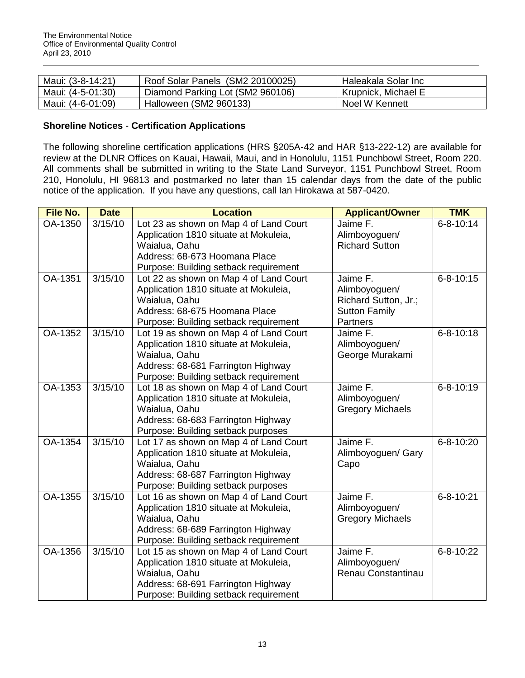| Maui: (3-8-14:21) | Roof Solar Panels (SM2 20100025) | Haleakala Solar Inc |
|-------------------|----------------------------------|---------------------|
| Maui: (4-5-01:30) | Diamond Parking Lot (SM2 960106) | Krupnick, Michael E |
| Maui: (4-6-01:09) | Halloween (SM2 960133)           | Noel W Kennett      |

## **Shoreline Notices** - **Certification Applications**

The following shoreline certification applications (HRS §205A-42 and HAR §13-222-12) are available for review at the DLNR Offices on Kauai, Hawaii, Maui, and in Honolulu, 1151 Punchbowl Street, Room 220. All comments shall be submitted in writing to the State Land Surveyor, 1151 Punchbowl Street, Room 210, Honolulu, HI 96813 and postmarked no later than 15 calendar days from the date of the public notice of the application. If you have any questions, call Ian Hirokawa at 587-0420.

| <b>File No.</b> | <b>Date</b>         | <b>Location</b>                                                                                                                                                                 | <b>Applicant/Owner</b>                                                                       | <b>TMK</b>      |
|-----------------|---------------------|---------------------------------------------------------------------------------------------------------------------------------------------------------------------------------|----------------------------------------------------------------------------------------------|-----------------|
| OA-1350         | 3/15/10             | Lot 23 as shown on Map 4 of Land Court<br>Application 1810 situate at Mokuleia,<br>Waialua, Oahu<br>Address: 68-673 Hoomana Place<br>Purpose: Building setback requirement      | Jaime F.<br>Alimboyoguen/<br><b>Richard Sutton</b>                                           | $6 - 8 - 10:14$ |
| OA-1351         | $\frac{1}{3/15/10}$ | Lot 22 as shown on Map 4 of Land Court<br>Application 1810 situate at Mokuleia,<br>Waialua, Oahu<br>Address: 68-675 Hoomana Place<br>Purpose: Building setback requirement      | Jaime F.<br>Alimboyoguen/<br>Richard Sutton, Jr.;<br><b>Sutton Family</b><br><b>Partners</b> | $6 - 8 - 10:15$ |
| OA-1352         | 3/15/10             | Lot 19 as shown on Map 4 of Land Court<br>Application 1810 situate at Mokuleia,<br>Waialua, Oahu<br>Address: 68-681 Farrington Highway<br>Purpose: Building setback requirement | Jaime F.<br>Alimboyoguen/<br>George Murakami                                                 | $6 - 8 - 10:18$ |
| OA-1353         | 3/15/10             | Lot 18 as shown on Map 4 of Land Court<br>Application 1810 situate at Mokuleia,<br>Waialua, Oahu<br>Address: 68-683 Farrington Highway<br>Purpose: Building setback purposes    | Jaime F.<br>Alimboyoguen/<br><b>Gregory Michaels</b>                                         | $6 - 8 - 10:19$ |
| OA-1354         | 3/15/10             | Lot 17 as shown on Map 4 of Land Court<br>Application 1810 situate at Mokuleia,<br>Waialua, Oahu<br>Address: 68-687 Farrington Highway<br>Purpose: Building setback purposes    | Jaime F.<br>Alimboyoguen/ Gary<br>Capo                                                       | $6 - 8 - 10:20$ |
| OA-1355         | 3/15/10             | Lot 16 as shown on Map 4 of Land Court<br>Application 1810 situate at Mokuleia,<br>Waialua, Oahu<br>Address: 68-689 Farrington Highway<br>Purpose: Building setback requirement | Jaime F.<br>Alimboyoguen/<br><b>Gregory Michaels</b>                                         | $6 - 8 - 10:21$ |
| OA-1356         | 3/15/10             | Lot 15 as shown on Map 4 of Land Court<br>Application 1810 situate at Mokuleia,<br>Waialua, Oahu<br>Address: 68-691 Farrington Highway<br>Purpose: Building setback requirement | Jaime F.<br>Alimboyoguen/<br>Renau Constantinau                                              | $6 - 8 - 10:22$ |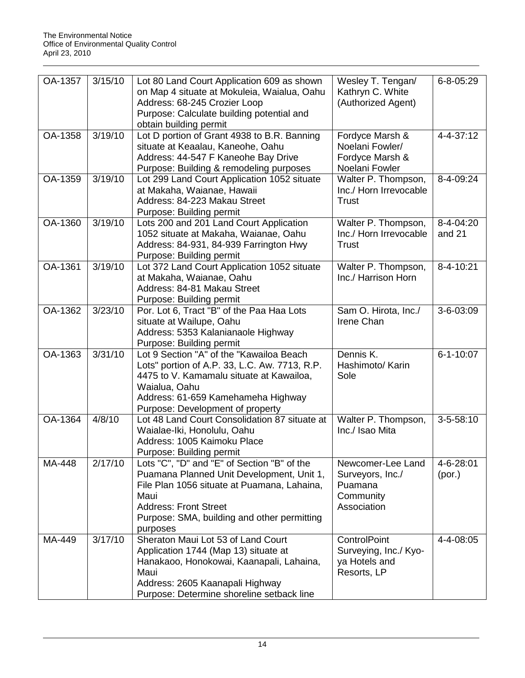| OA-1357 | 3/15/10 | Lot 80 Land Court Application 609 as shown<br>on Map 4 situate at Mokuleia, Waialua, Oahu<br>Address: 68-245 Crozier Loop<br>Purpose: Calculate building potential and<br>obtain building permit                                           | Wesley T. Tengan/<br>Kathryn C. White<br>(Authorized Agent)                  | $6 - 8 - 05:29$     |
|---------|---------|--------------------------------------------------------------------------------------------------------------------------------------------------------------------------------------------------------------------------------------------|------------------------------------------------------------------------------|---------------------|
| OA-1358 | 3/19/10 | Lot D portion of Grant 4938 to B.R. Banning<br>situate at Keaalau, Kaneohe, Oahu<br>Address: 44-547 F Kaneohe Bay Drive<br>Purpose: Building & remodeling purposes                                                                         | Fordyce Marsh &<br>Noelani Fowler/<br>Fordyce Marsh &<br>Noelani Fowler      | 4-4-37:12           |
| OA-1359 | 3/19/10 | Lot 299 Land Court Application 1052 situate<br>at Makaha, Waianae, Hawaii<br>Address: 84-223 Makau Street<br>Purpose: Building permit                                                                                                      | Walter P. Thompson,<br>Inc./ Horn Irrevocable<br><b>Trust</b>                | 8-4-09:24           |
| OA-1360 | 3/19/10 | Lots 200 and 201 Land Court Application<br>1052 situate at Makaha, Waianae, Oahu<br>Address: 84-931, 84-939 Farrington Hwy<br>Purpose: Building permit                                                                                     | Walter P. Thompson,<br>Inc./ Horn Irrevocable<br>Trust                       | 8-4-04:20<br>and 21 |
| OA-1361 | 3/19/10 | Lot 372 Land Court Application 1052 situate<br>at Makaha, Waianae, Oahu<br>Address: 84-81 Makau Street<br>Purpose: Building permit                                                                                                         | Walter P. Thompson,<br>Inc./ Harrison Horn                                   | 8-4-10:21           |
| OA-1362 | 3/23/10 | Por. Lot 6, Tract "B" of the Paa Haa Lots<br>situate at Wailupe, Oahu<br>Address: 5353 Kalanianaole Highway<br>Purpose: Building permit                                                                                                    | Sam O. Hirota, Inc./<br>Irene Chan                                           | 3-6-03:09           |
| OA-1363 | 3/31/10 | Lot 9 Section "A" of the "Kawailoa Beach<br>Lots" portion of A.P. 33, L.C. Aw. 7713, R.P.<br>4475 to V. Kamamalu situate at Kawailoa,<br>Waialua, Oahu<br>Address: 61-659 Kamehameha Highway<br>Purpose: Development of property           | Dennis K.<br>Hashimoto/ Karin<br>Sole                                        | $6 - 1 - 10:07$     |
| OA-1364 | 4/8/10  | Lot 48 Land Court Consolidation 87 situate at<br>Waialae-Iki, Honolulu, Oahu<br>Address: 1005 Kaimoku Place<br>Purpose: Building permit                                                                                                    | Walter P. Thompson,<br>Inc./ Isao Mita                                       | $3 - 5 - 58:10$     |
| MA-448  | 2/17/10 | Lots "C", "D" and "E" of Section "B" of the<br>Puamana Planned Unit Development, Unit 1,<br>File Plan 1056 situate at Puamana, Lahaina,<br>Maui<br><b>Address: Front Street</b><br>Purpose: SMA, building and other permitting<br>purposes | Newcomer-Lee Land<br>Surveyors, Inc./<br>Puamana<br>Community<br>Association | 4-6-28:01<br>(por.) |
| MA-449  | 3/17/10 | Sheraton Maui Lot 53 of Land Court<br>Application 1744 (Map 13) situate at<br>Hanakaoo, Honokowai, Kaanapali, Lahaina,<br>Maui<br>Address: 2605 Kaanapali Highway<br>Purpose: Determine shoreline setback line                             | <b>ControlPoint</b><br>Surveying, Inc./ Kyo-<br>ya Hotels and<br>Resorts, LP | 4-4-08:05           |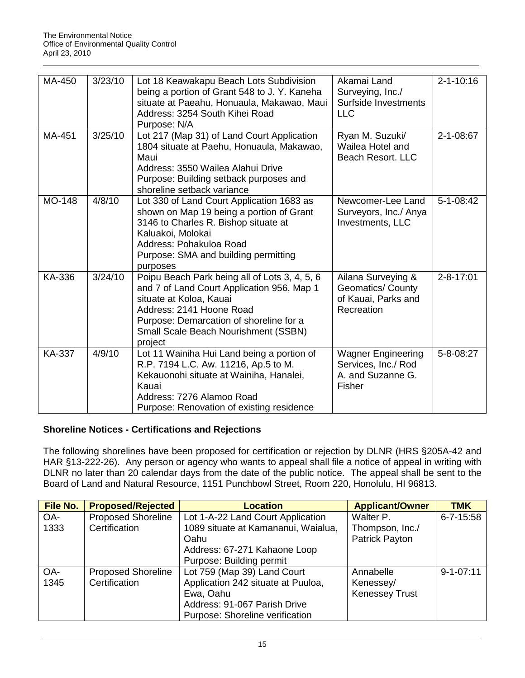| MA-450        | 3/23/10 | Lot 18 Keawakapu Beach Lots Subdivision<br>being a portion of Grant 548 to J. Y. Kaneha<br>situate at Paeahu, Honuaula, Makawao, Maui<br>Address: 3254 South Kihei Road<br>Purpose: N/A                                                                 | Akamai Land<br>Surveying, Inc./<br>Surfside Investments<br><b>LLC</b>               | $2 - 1 - 10:16$ |
|---------------|---------|---------------------------------------------------------------------------------------------------------------------------------------------------------------------------------------------------------------------------------------------------------|-------------------------------------------------------------------------------------|-----------------|
| MA-451        | 3/25/10 | Lot 217 (Map 31) of Land Court Application<br>1804 situate at Paehu, Honuaula, Makawao,<br>Maui<br>Address: 3550 Wailea Alahui Drive<br>Purpose: Building setback purposes and<br>shoreline setback variance                                            | Ryan M. Suzuki/<br>Wailea Hotel and<br><b>Beach Resort. LLC</b>                     | 2-1-08:67       |
| MO-148        | 4/8/10  | Lot 330 of Land Court Application 1683 as<br>shown on Map 19 being a portion of Grant<br>3146 to Charles R. Bishop situate at<br>Kaluakoi, Molokai<br>Address: Pohakuloa Road<br>Purpose: SMA and building permitting<br>purposes                       | Newcomer-Lee Land<br>Surveyors, Inc./ Anya<br>Investments, LLC                      | $5 - 1 - 08:42$ |
| KA-336        | 3/24/10 | Poipu Beach Park being all of Lots 3, 4, 5, 6<br>and 7 of Land Court Application 956, Map 1<br>situate at Koloa, Kauai<br>Address: 2141 Hoone Road<br>Purpose: Demarcation of shoreline for a<br><b>Small Scale Beach Nourishment (SSBN)</b><br>project | Ailana Surveying &<br><b>Geomatics/ County</b><br>of Kauai, Parks and<br>Recreation | $2 - 8 - 17:01$ |
| <b>KA-337</b> | 4/9/10  | Lot 11 Wainiha Hui Land being a portion of<br>R.P. 7194 L.C. Aw. 11216, Ap.5 to M.<br>Kekauonohi situate at Wainiha, Hanalei,<br>Kauai<br>Address: 7276 Alamoo Road<br>Purpose: Renovation of existing residence                                        | <b>Wagner Engineering</b><br>Services, Inc./ Rod<br>A. and Suzanne G.<br>Fisher     | 5-8-08:27       |

# **Shoreline Notices - Certifications and Rejections**

The following shorelines have been proposed for certification or rejection by DLNR (HRS §205A-42 and HAR §13-222-26). Any person or agency who wants to appeal shall file a notice of appeal in writing with DLNR no later than 20 calendar days from the date of the public notice. The appeal shall be sent to the Board of Land and Natural Resource, 1151 Punchbowl Street, Room 220, Honolulu, HI 96813.

| File No. | <b>Proposed/Rejected</b>  | <b>Location</b>                     | <b>Applicant/Owner</b> | <b>TMK</b>      |
|----------|---------------------------|-------------------------------------|------------------------|-----------------|
| OA-      | <b>Proposed Shoreline</b> | Lot 1-A-22 Land Court Application   | Walter P.              | $6 - 7 - 15:58$ |
| 1333     | Certification             | 1089 situate at Kamananui, Waialua, | Thompson, Inc./        |                 |
|          |                           | Oahu                                | Patrick Payton         |                 |
|          |                           | Address: 67-271 Kahaone Loop        |                        |                 |
|          |                           | Purpose: Building permit            |                        |                 |
| OA-      | <b>Proposed Shoreline</b> | Lot 759 (Map 39) Land Court         | Annabelle              | $9 - 1 - 07:11$ |
| 1345     | Certification             | Application 242 situate at Puuloa,  | Kenessey/              |                 |
|          |                           | Ewa, Oahu                           | <b>Kenessey Trust</b>  |                 |
|          |                           | Address: 91-067 Parish Drive        |                        |                 |
|          |                           | Purpose: Shoreline verification     |                        |                 |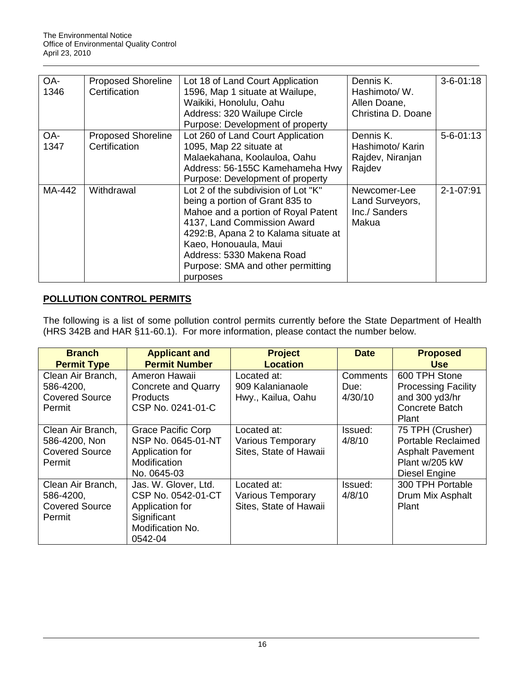| OA-    | <b>Proposed Shoreline</b> | Lot 18 of Land Court Application                                                                                                                                                     | Dennis K.                                                 | $3 - 6 - 01:18$ |
|--------|---------------------------|--------------------------------------------------------------------------------------------------------------------------------------------------------------------------------------|-----------------------------------------------------------|-----------------|
| 1346   | Certification             | 1596, Map 1 situate at Wailupe,                                                                                                                                                      | Hashimoto/W.                                              |                 |
|        |                           | Waikiki, Honolulu, Oahu                                                                                                                                                              | Allen Doane,                                              |                 |
|        |                           | Address: 320 Wailupe Circle                                                                                                                                                          | Christina D. Doane                                        |                 |
|        |                           | Purpose: Development of property                                                                                                                                                     |                                                           |                 |
| OA-    | <b>Proposed Shoreline</b> | Lot 260 of Land Court Application                                                                                                                                                    | Dennis K.                                                 | $5 - 6 - 01:13$ |
| 1347   | Certification             | 1095, Map 22 situate at                                                                                                                                                              | Hashimoto/ Karin                                          |                 |
|        |                           | Malaekahana, Koolauloa, Oahu                                                                                                                                                         | Rajdev, Niranjan                                          |                 |
|        |                           | Address: 56-155C Kamehameha Hwy                                                                                                                                                      | Rajdev                                                    |                 |
|        |                           | Purpose: Development of property                                                                                                                                                     |                                                           |                 |
| MA-442 | Withdrawal                | Lot 2 of the subdivision of Lot "K"<br>being a portion of Grant 835 to<br>Mahoe and a portion of Royal Patent<br>4137, Land Commission Award<br>4292:B, Apana 2 to Kalama situate at | Newcomer-Lee<br>Land Surveyors,<br>Inc./ Sanders<br>Makua | $2 - 1 - 07:91$ |
|        |                           | Kaeo, Honouaula, Maui<br>Address: 5330 Makena Road<br>Purpose: SMA and other permitting<br>purposes                                                                                  |                                                           |                 |

# **POLLUTION CONTROL PERMITS**

The following is a list of some pollution control permits currently before the State Department of Health (HRS 342B and HAR §11-60.1). For more information, please contact the number below.

| <b>Branch</b><br><b>Permit Type</b>                                   | <b>Applicant and</b><br><b>Permit Number</b>                                                                | <b>Project</b><br><b>Location</b>                                 | <b>Date</b>                 | <b>Proposed</b><br><b>Use</b>                                                                               |
|-----------------------------------------------------------------------|-------------------------------------------------------------------------------------------------------------|-------------------------------------------------------------------|-----------------------------|-------------------------------------------------------------------------------------------------------------|
| Clean Air Branch,<br>586-4200,<br><b>Covered Source</b><br>Permit     | Ameron Hawaii<br>Concrete and Quarry<br><b>Products</b><br>CSP No. 0241-01-C                                | Located at:<br>909 Kalanianaole<br>Hwy., Kailua, Oahu             | Comments<br>Due:<br>4/30/10 | 600 TPH Stone<br><b>Processing Facility</b><br>and 300 yd3/hr<br>Concrete Batch<br>Plant                    |
| Clean Air Branch,<br>586-4200, Non<br><b>Covered Source</b><br>Permit | <b>Grace Pacific Corp</b><br>NSP No. 0645-01-NT<br>Application for<br>Modification<br>No. 0645-03           | Located at:<br><b>Various Temporary</b><br>Sites, State of Hawaii | Issued:<br>4/8/10           | 75 TPH (Crusher)<br><b>Portable Reclaimed</b><br><b>Asphalt Pavement</b><br>Plant w/205 kW<br>Diesel Engine |
| Clean Air Branch,<br>586-4200,<br><b>Covered Source</b><br>Permit     | Jas. W. Glover, Ltd.<br>CSP No. 0542-01-CT<br>Application for<br>Significant<br>Modification No.<br>0542-04 | Located at:<br><b>Various Temporary</b><br>Sites, State of Hawaii | Issued:<br>4/8/10           | 300 TPH Portable<br>Drum Mix Asphalt<br>Plant                                                               |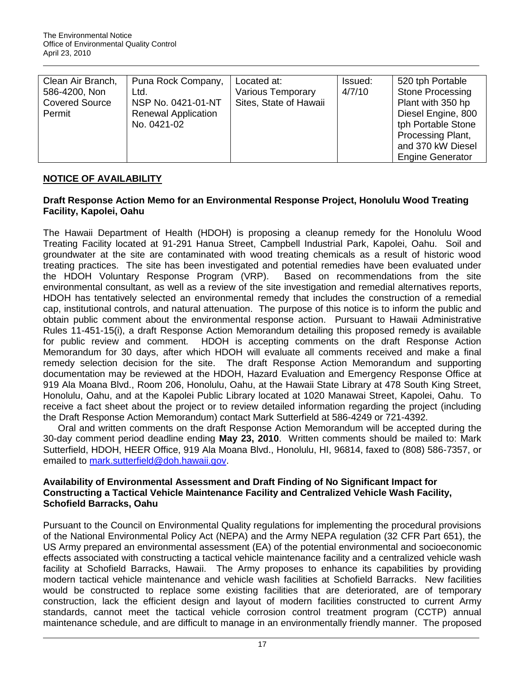| Clean Air Branch,     | Puna Rock Company,         | Located at:              | Issued: | 520 tph Portable        |
|-----------------------|----------------------------|--------------------------|---------|-------------------------|
| 586-4200, Non         | Ltd.                       | <b>Various Temporary</b> | 4/7/10  | <b>Stone Processing</b> |
| <b>Covered Source</b> | NSP No. 0421-01-NT         | Sites, State of Hawaii   |         | Plant with 350 hp       |
| Permit                | <b>Renewal Application</b> |                          |         | Diesel Engine, 800      |
|                       | No. 0421-02                |                          |         | tph Portable Stone      |
|                       |                            |                          |         | Processing Plant,       |
|                       |                            |                          |         | and 370 kW Diesel       |
|                       |                            |                          |         | <b>Engine Generator</b> |

# **NOTICE OF AVAILABILITY**

## **Draft Response Action Memo for an Environmental Response Project, Honolulu Wood Treating Facility, Kapolei, Oahu**

The Hawaii Department of Health (HDOH) is proposing a cleanup remedy for the Honolulu Wood Treating Facility located at 91-291 Hanua Street, Campbell Industrial Park, Kapolei, Oahu. Soil and groundwater at the site are contaminated with wood treating chemicals as a result of historic wood treating practices. The site has been investigated and potential remedies have been evaluated under the HDOH Voluntary Response Program (VRP). Based on recommendations from the site environmental consultant, as well as a review of the site investigation and remedial alternatives reports, HDOH has tentatively selected an environmental remedy that includes the construction of a remedial cap, institutional controls, and natural attenuation. The purpose of this notice is to inform the public and obtain public comment about the environmental response action. Pursuant to Hawaii Administrative Rules 11-451-15(i), a draft Response Action Memorandum detailing this proposed remedy is available for public review and comment. HDOH is accepting comments on the draft Response Action Memorandum for 30 days, after which HDOH will evaluate all comments received and make a final remedy selection decision for the site. The draft Response Action Memorandum and supporting documentation may be reviewed at the HDOH, Hazard Evaluation and Emergency Response Office at 919 Ala Moana Blvd., Room 206, Honolulu, Oahu, at the Hawaii State Library at 478 South King Street, Honolulu, Oahu, and at the Kapolei Public Library located at 1020 Manawai Street, Kapolei, Oahu. To receive a fact sheet about the project or to review detailed information regarding the project (including the Draft Response Action Memorandum) contact Mark Sutterfield at 586-4249 or 721-4392.

Oral and written comments on the draft Response Action Memorandum will be accepted during the 30-day comment period deadline ending **May 23, 2010**. Written comments should be mailed to: Mark Sutterfield, HDOH, HEER Office, 919 Ala Moana Blvd., Honolulu, HI, 96814, faxed to (808) 586-7357, or emailed to [mark.sutterfield@doh.hawaii.gov.](mailto:mark.sutterfield@doh.hawaii.gov)

## **Availability of Environmental Assessment and Draft Finding of No Significant Impact for Constructing a Tactical Vehicle Maintenance Facility and Centralized Vehicle Wash Facility, Schofield Barracks, Oahu**

Pursuant to the Council on Environmental Quality regulations for implementing the procedural provisions of the National Environmental Policy Act (NEPA) and the Army NEPA regulation (32 CFR Part 651), the US Army prepared an environmental assessment (EA) of the potential environmental and socioeconomic effects associated with constructing a tactical vehicle maintenance facility and a centralized vehicle wash facility at Schofield Barracks, Hawaii. The Army proposes to enhance its capabilities by providing modern tactical vehicle maintenance and vehicle wash facilities at Schofield Barracks. New facilities would be constructed to replace some existing facilities that are deteriorated, are of temporary construction, lack the efficient design and layout of modern facilities constructed to current Army standards, cannot meet the tactical vehicle corrosion control treatment program (CCTP) annual maintenance schedule, and are difficult to manage in an environmentally friendly manner. The proposed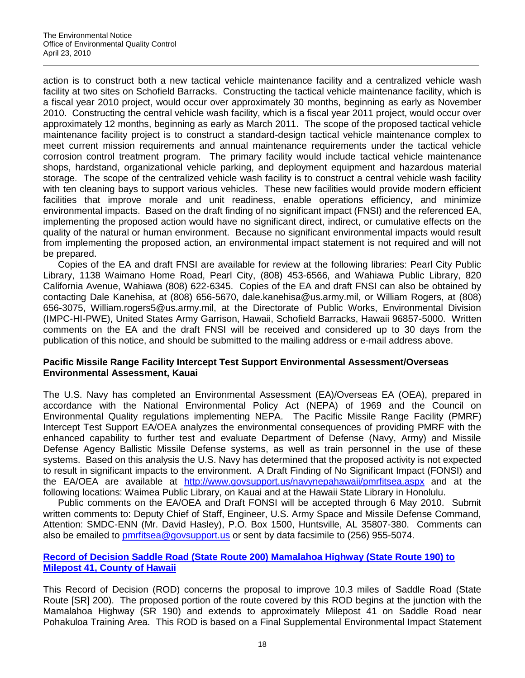action is to construct both a new tactical vehicle maintenance facility and a centralized vehicle wash facility at two sites on Schofield Barracks. Constructing the tactical vehicle maintenance facility, which is a fiscal year 2010 project, would occur over approximately 30 months, beginning as early as November 2010. Constructing the central vehicle wash facility, which is a fiscal year 2011 project, would occur over approximately 12 months, beginning as early as March 2011. The scope of the proposed tactical vehicle maintenance facility project is to construct a standard-design tactical vehicle maintenance complex to meet current mission requirements and annual maintenance requirements under the tactical vehicle corrosion control treatment program. The primary facility would include tactical vehicle maintenance shops, hardstand, organizational vehicle parking, and deployment equipment and hazardous material storage. The scope of the centralized vehicle wash facility is to construct a central vehicle wash facility with ten cleaning bays to support various vehicles. These new facilities would provide modern efficient facilities that improve morale and unit readiness, enable operations efficiency, and minimize environmental impacts. Based on the draft finding of no significant impact (FNSI) and the referenced EA, implementing the proposed action would have no significant direct, indirect, or cumulative effects on the quality of the natural or human environment. Because no significant environmental impacts would result from implementing the proposed action, an environmental impact statement is not required and will not be prepared.

Copies of the EA and draft FNSI are available for review at the following libraries: Pearl City Public Library, 1138 Waimano Home Road, Pearl City, (808) 453-6566, and Wahiawa Public Library, 820 California Avenue, Wahiawa (808) 622-6345. Copies of the EA and draft FNSI can also be obtained by contacting Dale Kanehisa, at (808) 656-5670, dale.kanehisa@us.army.mil, or William Rogers, at (808) 656-3075, William.rogers5@us.army.mil, at the Directorate of Public Works, Environmental Division (IMPC-HI-PWE), United States Army Garrison, Hawaii, Schofield Barracks, Hawaii 96857-5000. Written comments on the EA and the draft FNSI will be received and considered up to 30 days from the publication of this notice, and should be submitted to the mailing address or e-mail address above.

## **Pacific Missile Range Facility Intercept Test Support Environmental Assessment/Overseas Environmental Assessment, Kauai**

The U.S. Navy has completed an Environmental Assessment (EA)/Overseas EA (OEA), prepared in accordance with the National Environmental Policy Act (NEPA) of 1969 and the Council on Environmental Quality regulations implementing NEPA. The Pacific Missile Range Facility (PMRF) Intercept Test Support EA/OEA analyzes the environmental consequences of providing PMRF with the enhanced capability to further test and evaluate Department of Defense (Navy, Army) and Missile Defense Agency Ballistic Missile Defense systems, as well as train personnel in the use of these systems. Based on this analysis the U.S. Navy has determined that the proposed activity is not expected to result in significant impacts to the environment. A Draft Finding of No Significant Impact (FONSI) and the EA/OEA are available at <http://www.govsupport.us/navynepahawaii/pmrfitsea.aspx> and at the following locations: Waimea Public Library, on Kauai and at the Hawaii State Library in Honolulu.

Public comments on the EA/OEA and Draft FONSI will be accepted through 6 May 2010. Submit written comments to: Deputy Chief of Staff, Engineer, U.S. Army Space and Missile Defense Command, Attention: SMDC-ENN (Mr. David Hasley), P.O. Box 1500, Huntsville, AL 35807-380. Comments can also be emailed to [pmrfitsea@govsupport.us](mailto:pmrfitsea@govsupport.us) or sent by data facsimile to (256) 955-5074.

## **[Record of Decision Saddle Road \(State Route 200\) Mamalahoa Highway \(State Route 190\) to](http://www.cflhd.gov/projects/GetDoc.cfm?WebDocUID=22&category=supplementaldocs)  [Milepost 41, County of Hawaii](http://www.cflhd.gov/projects/GetDoc.cfm?WebDocUID=22&category=supplementaldocs)**

This Record of Decision (ROD) concerns the proposal to improve 10.3 miles of Saddle Road (State Route [SR] 200). The proposed portion of the route covered by this ROD begins at the junction with the Mamalahoa Highway (SR 190) and extends to approximately Milepost 41 on Saddle Road near Pohakuloa Training Area. This ROD is based on a Final Supplemental Environmental Impact Statement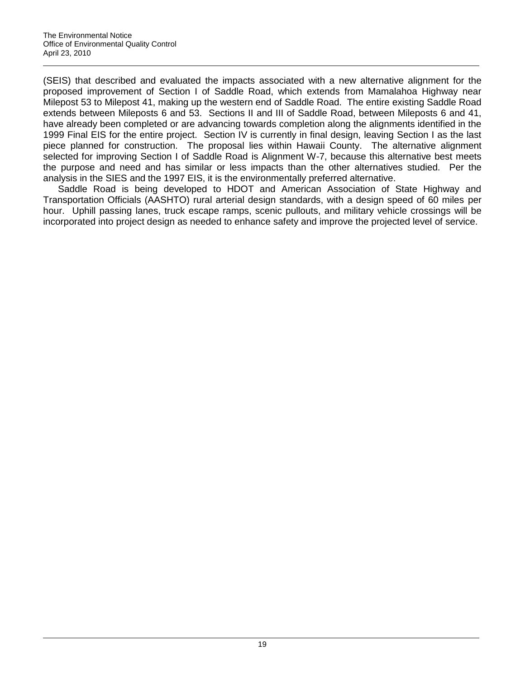(SEIS) that described and evaluated the impacts associated with a new alternative alignment for the proposed improvement of Section I of Saddle Road, which extends from Mamalahoa Highway near Milepost 53 to Milepost 41, making up the western end of Saddle Road. The entire existing Saddle Road extends between Mileposts 6 and 53. Sections II and III of Saddle Road, between Mileposts 6 and 41, have already been completed or are advancing towards completion along the alignments identified in the 1999 Final EIS for the entire project. Section IV is currently in final design, leaving Section I as the last piece planned for construction. The proposal lies within Hawaii County. The alternative alignment selected for improving Section I of Saddle Road is Alignment W-7, because this alternative best meets the purpose and need and has similar or less impacts than the other alternatives studied. Per the analysis in the SIES and the 1997 EIS, it is the environmentally preferred alternative.

Saddle Road is being developed to HDOT and American Association of State Highway and Transportation Officials (AASHTO) rural arterial design standards, with a design speed of 60 miles per hour. Uphill passing lanes, truck escape ramps, scenic pullouts, and military vehicle crossings will be incorporated into project design as needed to enhance safety and improve the projected level of service.